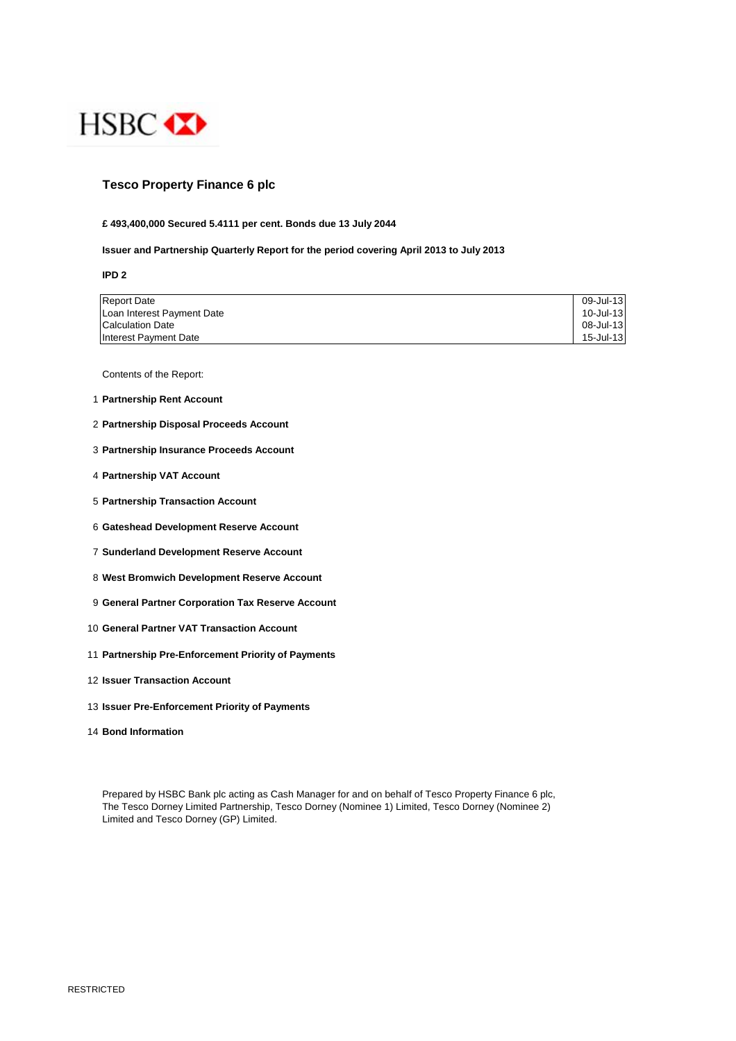

# **Tesco Property Finance 6 plc**

## **£ 493,400,000 Secured 5.4111 per cent. Bonds due 13 July 2044**

## **Issuer and Partnership Quarterly Report for the period covering April 2013 to July 2013**

**IPD 2**

| <b>Report Date</b>         | 09-Jul-13 |
|----------------------------|-----------|
| Loan Interest Payment Date | 10-Jul-13 |
| Calculation Date           | 08-Jul-13 |
| Interest Payment Date      | 15-Jul-13 |

Contents of the Report:

- 1 **Partnership Rent Account**
- 2 **Partnership Disposal Proceeds Account**
- 3 **Partnership Insurance Proceeds Account**
- 4 **Partnership VAT Account**
- 5 **Partnership Transaction Account**
- 6 **Gateshead Development Reserve Account**
- 7 **Sunderland Development Reserve Account**
- 8 **West Bromwich Development Reserve Account**
- 9 **General Partner Corporation Tax Reserve Account**
- 10 **General Partner VAT Transaction Account**
- 11 **Partnership Pre-Enforcement Priority of Payments**
- 12 **Issuer Transaction Account**
- 13 **Issuer Pre-Enforcement Priority of Payments**
- 14 **Bond Information**

Prepared by HSBC Bank plc acting as Cash Manager for and on behalf of Tesco Property Finance 6 plc, The Tesco Dorney Limited Partnership, Tesco Dorney (Nominee 1) Limited, Tesco Dorney (Nominee 2) Limited and Tesco Dorney (GP) Limited.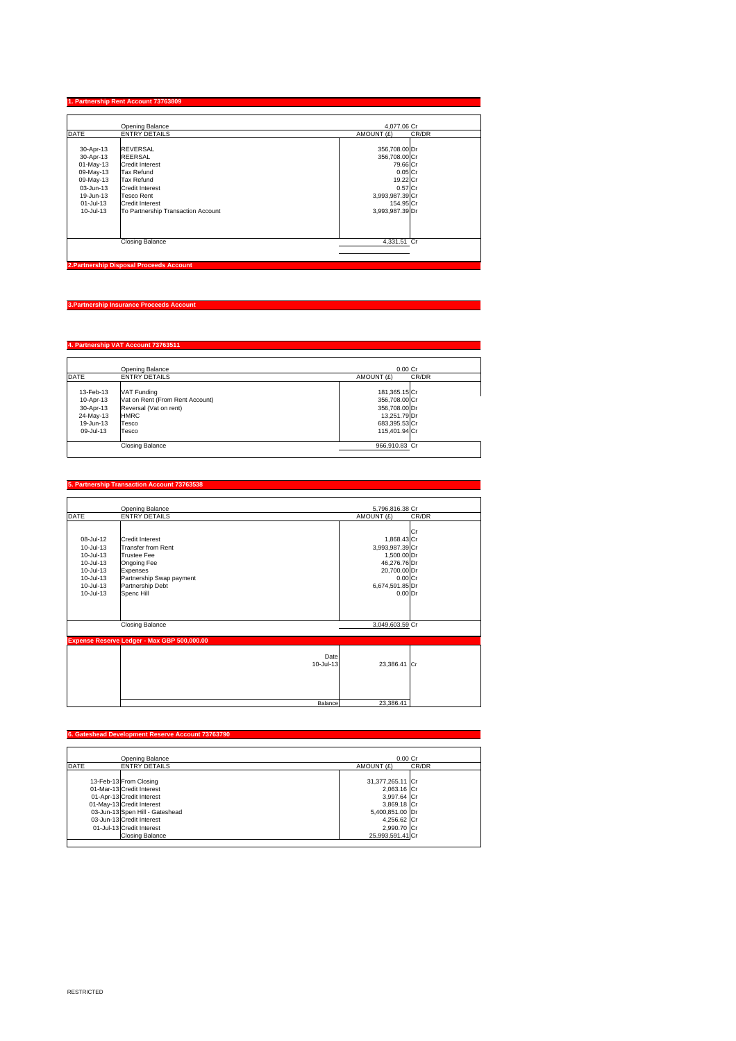## **1. Partnership Rent Adam**

|                                                                                                                   | Opening Balance                                                                                                                                                                                 | 4.077.06 Cr                                                                                                                                    |       |
|-------------------------------------------------------------------------------------------------------------------|-------------------------------------------------------------------------------------------------------------------------------------------------------------------------------------------------|------------------------------------------------------------------------------------------------------------------------------------------------|-------|
| <b>DATE</b>                                                                                                       | <b>ENTRY DETAILS</b>                                                                                                                                                                            | AMOUNT (£)                                                                                                                                     | CR/DR |
| 30-Apr-13<br>30-Apr-13<br>01-May-13<br>09-May-13<br>09-May-13<br>03-Jun-13<br>19-Jun-13<br>01-Jul-13<br>10-Jul-13 | REVERSAL<br><b>REERSAL</b><br><b>Credit Interest</b><br>Tax Refund<br>Tax Refund<br><b>Credit Interest</b><br><b>Tesco Rent</b><br><b>Credit Interest</b><br>To Partnership Transaction Account | 356,708.00 Dr<br>356,708.00 Cr<br>79.66 Cr<br>$0.05$ <sub>Cr</sub><br>19.22 Cr<br>$0.57$ Cr<br>3,993,987.39 Cr<br>154.95 Cr<br>3,993,987.39 Dr |       |
|                                                                                                                   | <b>Closing Balance</b>                                                                                                                                                                          | 4,331.51 Cr                                                                                                                                    |       |

### **ship In**

**2.Partnership Disposal Proceeds Account**

**4. Partnership VAT Ac** 

|           | Opening Balance                 | 0.00 Cr             |
|-----------|---------------------------------|---------------------|
| DATE      | <b>ENTRY DETAILS</b>            | CR/DR<br>AMOUNT (£) |
|           |                                 |                     |
| 13-Feb-13 | VAT Funding                     | 181,365.15 Cr       |
| 10-Apr-13 | Vat on Rent (From Rent Account) | 356,708,00 Cr       |
| 30-Apr-13 | Reversal (Vat on rent)          | 356,708.00 Dr       |
| 24-May-13 | <b>HMRC</b>                     | 13.251.79 Dr        |
| 19-Jun-13 | Tesco                           | 683,395.53 Cr       |
| 09-Jul-13 | Tesco                           | 115.401.94 Cr       |
|           |                                 |                     |
|           | <b>Closing Balance</b>          | 966.910.83 Cr       |

|               | Opening Balance                             | 5.796.816.38 Cr |       |
|---------------|---------------------------------------------|-----------------|-------|
| <b>DATE</b>   | <b>ENTRY DETAILS</b>                        | AMOUNT (£)      | CR/DR |
|               |                                             |                 |       |
|               |                                             |                 | Cr    |
| 08-Jul-12     | <b>Credit Interest</b>                      | 1,868.43 Cr     |       |
| 10-Jul-13     | <b>Transfer from Rent</b>                   | 3,993,987.39 Cr |       |
| $10 -$ Jul-13 | <b>Trustee Fee</b>                          | 1,500.00 Dr     |       |
| 10-Jul-13     | Ongoing Fee                                 | 46,276.76 Dr    |       |
| 10-Jul-13     | Expenses                                    | 20,700.00 Dr    |       |
| 10-Jul-13     | Partnership Swap payment                    | $0.00C$ r       |       |
| 10-Jul-13     | Partnership Debt                            | 6,674,591.85 Dr |       |
| 10-Jul-13     | Spenc Hill                                  | $0.00$ Dr       |       |
|               |                                             |                 |       |
|               |                                             |                 |       |
|               | <b>Closing Balance</b>                      | 3,049,603.59 Cr |       |
|               |                                             |                 |       |
|               | Expense Reserve Ledger - Max GBP 500,000.00 |                 |       |
|               | Date                                        |                 |       |
|               | 10-Jul-13                                   | 23,386.41 Cr    |       |
|               |                                             |                 |       |
|               |                                             |                 |       |
|               |                                             |                 |       |
|               |                                             |                 |       |
|               |                                             |                 |       |

| 6. Gateshead Development Reserve Account 73763790 |                                                                                           |                                                |  |
|---------------------------------------------------|-------------------------------------------------------------------------------------------|------------------------------------------------|--|
|                                                   | Opening Balance                                                                           | 0.00 Cr                                        |  |
| <b>DATE</b>                                       | <b>ENTRY DETAILS</b>                                                                      | CR/DR<br>AMOUNT (£)                            |  |
|                                                   | 13-Feb-13 From Closing<br>01-Mar-13 Credit Interest<br>01-Apr-13 Credit Interest          | 31,377,265.11 Cr<br>2.063.16 Cr<br>3,997.64 Cr |  |
|                                                   | 01-May-13 Credit Interest<br>03-Jun-13 Spen Hill - Gateshead<br>03-Jun-13 Credit Interest | 3.869.18 Cr<br>5,400,851.00 Dr<br>4.256.62 Cr  |  |
|                                                   | 01-Jul-13 Credit Interest<br>Closing Balance                                              | 2.990.70 Cr<br>25.993.591.41 Cr                |  |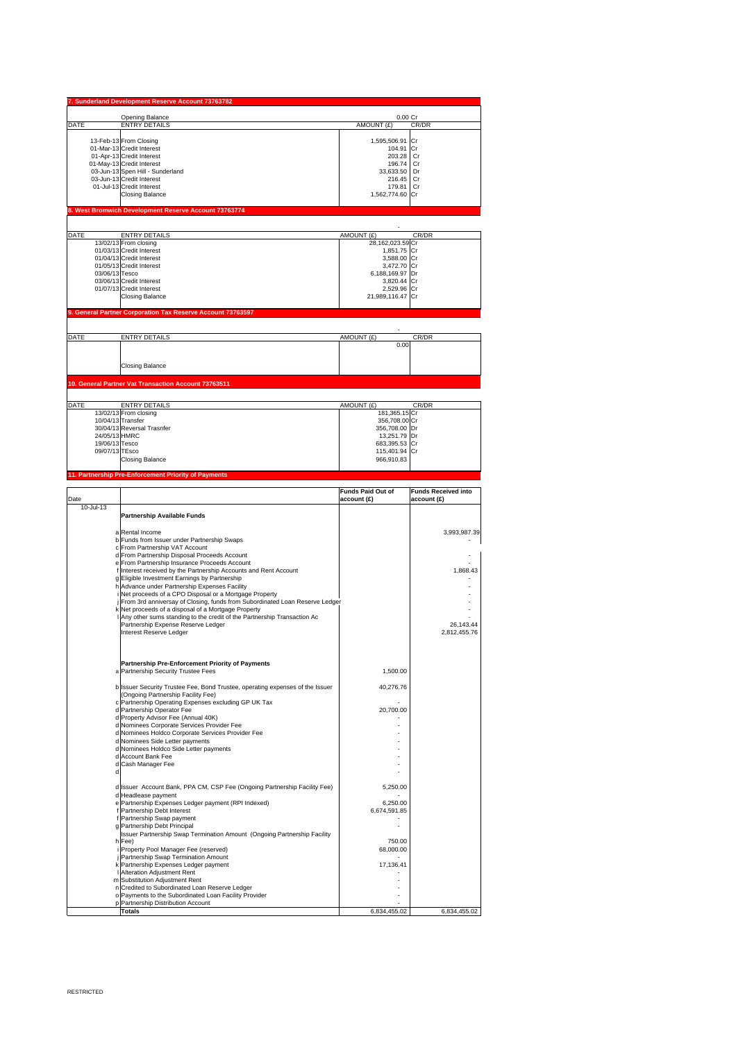|      |                                  | 7. Sunderland Development Reserve Account 73763782                                                                           |                                |                            |
|------|----------------------------------|------------------------------------------------------------------------------------------------------------------------------|--------------------------------|----------------------------|
|      |                                  |                                                                                                                              | $0.00C$ r                      |                            |
| DATE |                                  | Opening Balance<br><b>ENTRY DETAILS</b>                                                                                      | AMOUNT (£)                     | CR/DR                      |
|      |                                  |                                                                                                                              |                                |                            |
|      |                                  | 13-Feb-13 From Closing<br>01-Mar-13 Credit Interest                                                                          | 1,595,506.91 Cr<br>104.91 Cr   |                            |
|      |                                  | 01-Apr-13 Credit Interest                                                                                                    | 203.28                         | Cr                         |
|      |                                  | 01-May-13 Credit Interest                                                                                                    | 196.74                         | Cr                         |
|      |                                  | 03-Jun-13 Spen Hill - Sunderland<br>03-Jun-13 Credit Interest                                                                | 33,633.50<br>216.45            | Dr<br>Cr                   |
|      |                                  | 01-Jul-13 Credit Interest                                                                                                    | 179.81                         | Cr                         |
|      |                                  | <b>Closing Balance</b>                                                                                                       | 1,562,774.60 Cr                |                            |
|      |                                  | 8. West Bromwich Development Reserve Account 73763774                                                                        |                                |                            |
|      |                                  |                                                                                                                              |                                |                            |
|      |                                  |                                                                                                                              |                                |                            |
| DATE |                                  | <b>ENTRY DETAILS</b><br>13/02/13 From closing                                                                                | AMOUNT (£)<br>28,162,023.59 Cr | CR/DR                      |
|      |                                  | 01/03/13 Credit Interest                                                                                                     | 1,851.75 Cr                    |                            |
|      |                                  | 01/04/13 Credit Interest                                                                                                     | 3,588.00 Cr                    |                            |
|      | 03/06/13 Tesco                   | 01/05/13 Credit Interest                                                                                                     | 3,472.70 Cr<br>6.188.169.97 Dr |                            |
|      |                                  | 03/06/13 Credit Interest                                                                                                     | 3,820.44 Cr                    |                            |
|      |                                  | 01/07/13 Credit Interest                                                                                                     | 2,529.96 Cr                    |                            |
|      |                                  | <b>Closing Balance</b>                                                                                                       | 21,989,116.47 Cr               |                            |
|      |                                  | 9. General Partner Corporation Tax Reserve Account 73763597                                                                  |                                |                            |
|      |                                  |                                                                                                                              |                                |                            |
|      |                                  |                                                                                                                              |                                |                            |
| DATE |                                  | ENTRY DETAILS                                                                                                                | AMOUNT (£)<br>0.00             | CR/DR                      |
|      |                                  |                                                                                                                              |                                |                            |
|      |                                  | <b>Closing Balance</b>                                                                                                       |                                |                            |
|      |                                  |                                                                                                                              |                                |                            |
|      |                                  | 10. General Partner Vat Transaction Account 73763511                                                                         |                                |                            |
|      |                                  |                                                                                                                              |                                |                            |
| DATE |                                  | <b>ENTRY DETAILS</b>                                                                                                         | AMOUNT (£)                     | CR/DR                      |
|      | 10/04/13 Transfer                | 13/02/13 From closing                                                                                                        | 181,365.15 Cr<br>356,708.00 Cr |                            |
|      |                                  | 30/04/13 Reversal Trasnfer                                                                                                   | 356,708.00 Dr                  |                            |
|      | 24/05/13 HMRC                    |                                                                                                                              | 13,251.79 Dr                   |                            |
|      | 19/06/13 Tesco<br>09/07/13 TEsco |                                                                                                                              | 683,395.53 Cr<br>115,401.94 Cr |                            |
|      |                                  | <b>Closing Balance</b>                                                                                                       | 966,910.83                     |                            |
|      |                                  |                                                                                                                              |                                |                            |
|      |                                  | 11. Partnership Pre-Enforcement Priority of Payments                                                                         |                                |                            |
|      |                                  |                                                                                                                              | Funds Paid Out of              | <b>Funds Received into</b> |
|      |                                  |                                                                                                                              |                                |                            |
| Date |                                  |                                                                                                                              | account (£)                    | account (£)                |
|      | 10-Jul-13                        |                                                                                                                              |                                |                            |
|      |                                  | <b>Partnership Available Funds</b>                                                                                           |                                |                            |
|      |                                  | a Rental Income                                                                                                              |                                | 3,993,987.39               |
|      |                                  | b Funds from Issuer under Partnership Swaps                                                                                  |                                |                            |
|      |                                  | c From Partnership VAT Account<br>d From Partnership Disposal Proceeds Account                                               |                                |                            |
|      |                                  | e From Partnership Insurance Proceeds Account                                                                                |                                |                            |
|      |                                  | Interest received by the Partnership Accounts and Rent Account                                                               |                                | 1,868.43                   |
|      | h                                | g Eligible Investment Earnings by Partnership<br>Advance under Partnership Expenses Facility                                 |                                |                            |
|      |                                  | Net proceeds of a CPO Disposal or a Mortgage Property                                                                        |                                |                            |
|      |                                  | From 3rd anniversay of Closing, funds from Subordinated Loan Reserve Ledger                                                  |                                |                            |
|      | k                                | Net proceeds of a disposal of a Mortgage Property<br>Any other sums standing to the credit of the Partnership Transaction Ac |                                |                            |
|      |                                  | Partnership Expense Reserve Ledger                                                                                           |                                | 26.143.44                  |
|      |                                  | Interest Reserve Ledger                                                                                                      |                                | 2,812,455.76               |
|      |                                  |                                                                                                                              |                                |                            |
|      |                                  |                                                                                                                              |                                |                            |
|      |                                  | Partnership Pre-Enforcement Priority of Payments                                                                             |                                |                            |
|      |                                  | a Partnership Security Trustee Fees                                                                                          | 1,500.00                       |                            |
|      |                                  | b Issuer Security Trustee Fee, Bond Trustee, operating expenses of the Issuer                                                | 40,276.76                      |                            |
|      |                                  | (Ongoing Partnership Facility Fee)<br>c Partnership Operating Expenses excluding GP UK Tax                                   |                                |                            |
|      |                                  | d Partnership Operator Fee                                                                                                   | 20,700.00                      |                            |
|      |                                  | d Property Advisor Fee (Annual 40K)                                                                                          |                                |                            |
|      |                                  | d Nominees Corporate Services Provider Fee<br>d Nominees Holdco Corporate Services Provider Fee                              |                                |                            |
|      |                                  | d Nominees Side Letter payments                                                                                              |                                |                            |
|      |                                  | d Nominees Holdco Side Letter payments                                                                                       |                                |                            |
|      | d<br>d                           | Account Bank Fee<br>Cash Manager Fee                                                                                         |                                |                            |
|      | d                                |                                                                                                                              |                                |                            |
|      |                                  |                                                                                                                              |                                |                            |
|      |                                  | d Issuer Account Bank, PPA CM, CSP Fee (Ongoing Partnership Facility Fee)<br>d Headlease payment                             | 5,250.00                       |                            |
|      |                                  | e Partnership Expenses Ledger payment (RPI Indexed)                                                                          | 6,250.00                       |                            |
|      |                                  | f Partnership Debt Interest<br>f Partnership Swap payment                                                                    | 6,674,591.85                   |                            |
|      |                                  | g Partnership Debt Principal                                                                                                 |                                |                            |
|      |                                  | Issuer Partnership Swap Termination Amount (Ongoing Partnership Facility                                                     |                                |                            |
|      |                                  | h Fee)<br>Property Pool Manager Fee (reserved)                                                                               | 750.00<br>68,000.00            |                            |
|      |                                  | Partnership Swap Termination Amount                                                                                          |                                |                            |
|      | k                                | Partnership Expenses Ledger payment                                                                                          | 17,136.41                      |                            |
|      |                                  | Alteration Adjustment Rent<br>m Substitution Adjustment Rent                                                                 |                                |                            |
|      |                                  | n Credited to Subordinated Loan Reserve Ledger                                                                               |                                |                            |
|      | p                                | o Payments to the Subordinated Loan Facility Provider<br>Partnership Distribution Account                                    |                                |                            |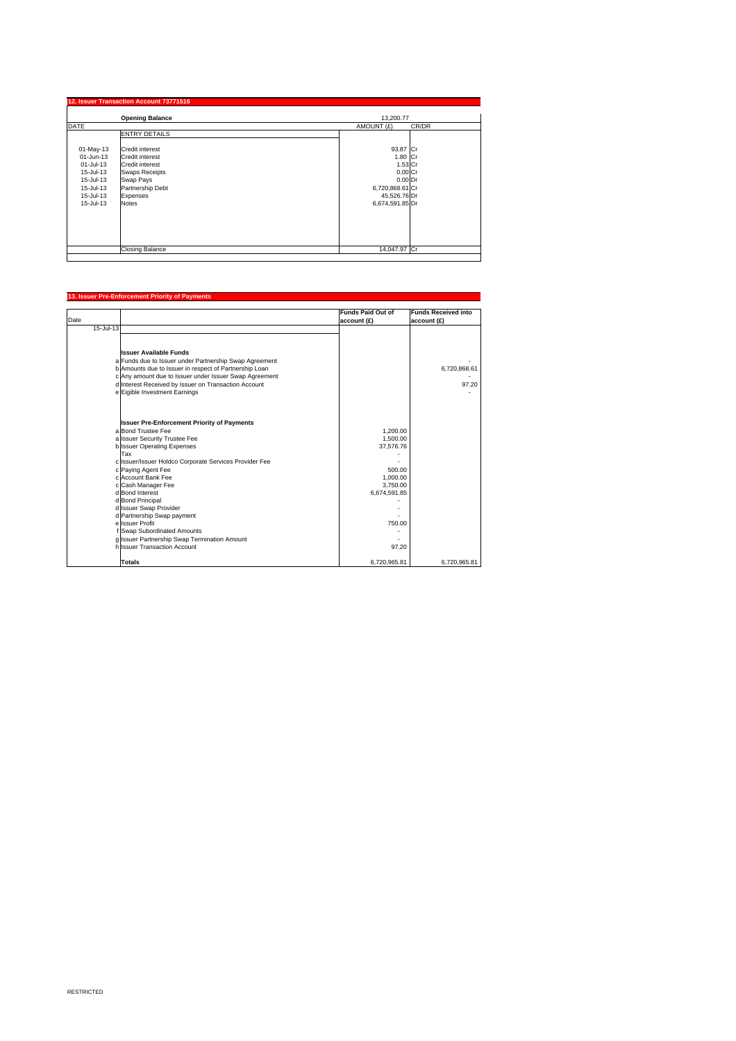| 12. Issuer Transaction Account 73771516                                                                |                                                                                                                                                                  |                                                                                                                           |       |
|--------------------------------------------------------------------------------------------------------|------------------------------------------------------------------------------------------------------------------------------------------------------------------|---------------------------------------------------------------------------------------------------------------------------|-------|
|                                                                                                        | <b>Opening Balance</b>                                                                                                                                           | 13,200.77                                                                                                                 |       |
| <b>DATE</b>                                                                                            |                                                                                                                                                                  | AMOUNT (£)                                                                                                                | CR/DR |
|                                                                                                        | <b>ENTRY DETAILS</b>                                                                                                                                             |                                                                                                                           |       |
| $01-May-13$<br>01-Jun-13<br>01-Jul-13<br>15-Jul-13<br>15-Jul-13<br>15-Jul-13<br>15-Jul-13<br>15-Jul-13 | <b>Credit interest</b><br><b>Credit interest</b><br><b>Credit interest</b><br><b>Swaps Receipts</b><br>Swap Pays<br>Partnership Debt<br>Expenses<br><b>Notes</b> | 93.87 Cr<br>1.80 Cr<br>1.53 Cr<br>$0.00$ <sub>Cr</sub><br>$0.00$ Dr<br>6,720,868.61 Cr<br>45,526.76 Dr<br>6,674,591.85 Dr |       |
|                                                                                                        | <b>Closing Balance</b>                                                                                                                                           | 14.047.97 Cr                                                                                                              |       |

| Date |                                                        | <b>Funds Paid Out of</b><br>account (£) | <b>Funds Received into</b><br>account (£) |
|------|--------------------------------------------------------|-----------------------------------------|-------------------------------------------|
|      | 15-Jul-13                                              |                                         |                                           |
|      |                                                        |                                         |                                           |
|      | <b>Issuer Available Funds</b>                          |                                         |                                           |
|      | a Funds due to Issuer under Partnership Swap Agreement |                                         |                                           |
|      | b Amounts due to Issuer in respect of Partnership Loan |                                         | 6,720,868.61                              |
|      | c Any amount due to Issuer under Issuer Swap Agreement |                                         |                                           |
|      | d Interest Received by Issuer on Transaction Account   |                                         | 97.20                                     |
|      | e Eigible Investment Earnings                          |                                         |                                           |
|      |                                                        |                                         |                                           |
|      | <b>Issuer Pre-Enforcement Priority of Payments</b>     |                                         |                                           |
|      | a Bond Trustee Fee                                     | 1.200.00                                |                                           |
|      | a Issuer Security Trustee Fee                          | 1,500.00                                |                                           |
|      | b Issuer Operating Expenses                            | 37,576.76                               |                                           |
|      | Tax                                                    |                                         |                                           |
|      | c Issuer/Issuer Holdco Corporate Services Provider Fee |                                         |                                           |
|      | c Paying Agent Fee                                     | 500.00                                  |                                           |
|      | c Account Bank Fee                                     | 1.000.00                                |                                           |
|      | Cash Manager Fee<br><b>Bond Interest</b>               | 3,750.00                                |                                           |
|      | d Bond Principal                                       | 6,674,591.85                            |                                           |
|      | d Issuer Swap Provider                                 |                                         |                                           |
|      | d Partnership Swap payment                             |                                         |                                           |
|      | ellssuer Profit                                        | 750.00                                  |                                           |
|      | f Swap Subordinated Amounts                            |                                         |                                           |
|      | g Issuer Partnership Swap Termination Amount           |                                         |                                           |
|      | hussuer Transaction Account                            | 97.20                                   |                                           |
|      |                                                        |                                         |                                           |
|      | <b>Totals</b>                                          | 6,720,965.81                            | 6,720,965.81                              |